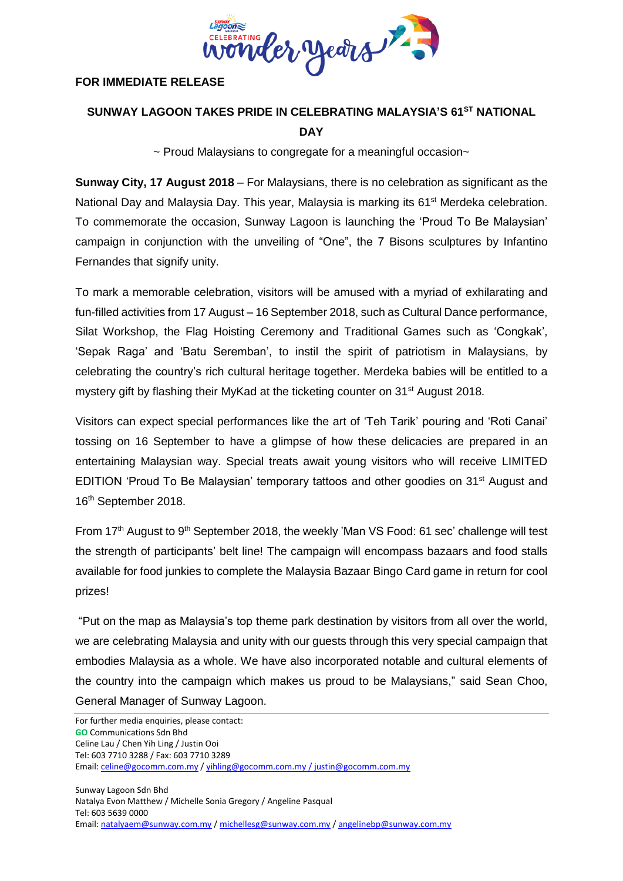

## **FOR IMMEDIATE RELEASE**

## **SUNWAY LAGOON TAKES PRIDE IN CELEBRATING MALAYSIA'S 61ST NATIONAL DAY**

~ Proud Malaysians to congregate for a meaningful occasion~

**Sunway City, 17 August 2018** – For Malaysians, there is no celebration as significant as the National Day and Malaysia Day. This year, Malaysia is marking its 61<sup>st</sup> Merdeka celebration. To commemorate the occasion, Sunway Lagoon is launching the 'Proud To Be Malaysian' campaign in conjunction with the unveiling of "One", the 7 Bisons sculptures by Infantino Fernandes that signify unity.

To mark a memorable celebration, visitors will be amused with a myriad of exhilarating and fun-filled activities from 17 August – 16 September 2018, such as Cultural Dance performance, Silat Workshop, the Flag Hoisting Ceremony and Traditional Games such as 'Congkak', 'Sepak Raga' and 'Batu Seremban', to instil the spirit of patriotism in Malaysians, by celebrating the country's rich cultural heritage together. Merdeka babies will be entitled to a mystery gift by flashing their MyKad at the ticketing counter on 31<sup>st</sup> August 2018.

Visitors can expect special performances like the art of 'Teh Tarik' pouring and 'Roti Canai' tossing on 16 September to have a glimpse of how these delicacies are prepared in an entertaining Malaysian way. Special treats await young visitors who will receive LIMITED EDITION 'Proud To Be Malaysian' temporary tattoos and other goodies on 31st August and 16th September 2018.

From 17<sup>th</sup> August to 9<sup>th</sup> September 2018, the weekly 'Man VS Food: 61 sec' challenge will test the strength of participants' belt line! The campaign will encompass bazaars and food stalls available for food junkies to complete the Malaysia Bazaar Bingo Card game in return for cool prizes!

"Put on the map as Malaysia's top theme park destination by visitors from all over the world, we are celebrating Malaysia and unity with our guests through this very special campaign that embodies Malaysia as a whole. We have also incorporated notable and cultural elements of the country into the campaign which makes us proud to be Malaysians," said Sean Choo, General Manager of Sunway Lagoon.